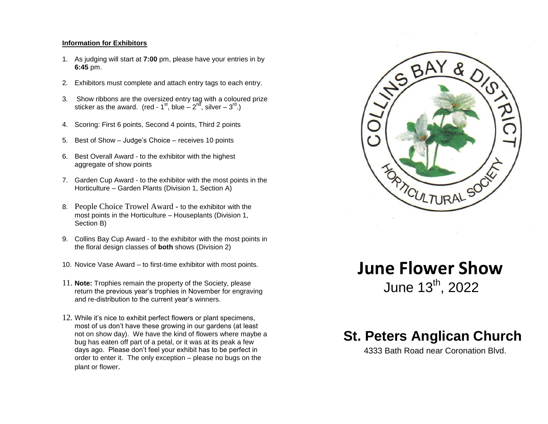#### **Information for Exhibitors**

- 1. As judging will start at **7:00** pm, please have your entries in by **6:45** pm.
- 2. Exhibitors must complete and attach entry tags to each entry.
- 3. Show ribbons are the oversized entry tag with a coloured prize sticker as the award. (red - 1<sup>st</sup>, blue  $- 2^{nd}$ , silver  $- 3^{rd}$ .)
- 4. Scoring: First 6 points, Second 4 points, Third 2 points
- 5. Best of Show Judge's Choice receives 10 points
- 6. Best Overall Award to the exhibitor with the highest aggregate of show points
- 7. Garden Cup Award to the exhibitor with the most points in the Horticulture – Garden Plants (Division 1, Section A)
- 8. People Choice Trowel Award to the exhibitor with the most points in the Horticulture – Houseplants (Division 1, Section B)
- 9. Collins Bay Cup Award to the exhibitor with the most points in the floral design classes of **both** shows (Division 2)
- 10. Novice Vase Award to first-time exhibitor with most points.
- 11. **Note:** Trophies remain the property of the Society, please return the previous year's trophies in November for engraving and re-distribution to the current year's winners.
- 12. While it's nice to exhibit perfect flowers or plant specimens, most of us don't have these growing in our gardens (at least not on show day). We have the kind of flowers where maybe a bug has eaten off part of a petal, or it was at its peak a few days ago. Please don't feel your exhibit has to be perfect in order to enter it. The only exception – please no bugs on the plant or flower.



# **June Flower Show** June 13<sup>th</sup>, 2022

## **St. Peters Anglican Church**

4333 Bath Road near Coronation Blvd.